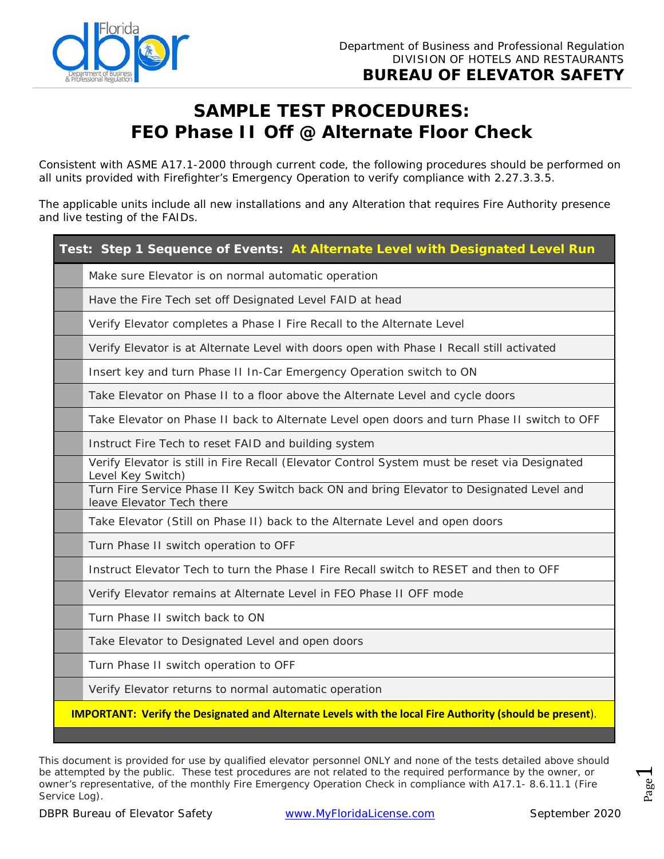

## **SAMPLE TEST PROCEDURES: FEO Phase II Off @ Alternate Floor Check**

Consistent with ASME A17.1-2000 through current code, the following procedures should be performed on all units provided with Firefighter's Emergency Operation to verify compliance with 2.27.3.3.5.

The applicable units include all new installations and any Alteration that requires Fire Authority presence and live testing of the FAIDs.

| Test: Step 1 Sequence of Events: At Alternate Level with Designated Level Run                                         |  |
|-----------------------------------------------------------------------------------------------------------------------|--|
| Make sure Elevator is on normal automatic operation                                                                   |  |
| Have the Fire Tech set off Designated Level FAID at head                                                              |  |
| Verify Elevator completes a Phase I Fire Recall to the Alternate Level                                                |  |
| Verify Elevator is at Alternate Level with doors open with Phase I Recall still activated                             |  |
| Insert key and turn Phase II In-Car Emergency Operation switch to ON                                                  |  |
| Take Elevator on Phase II to a floor above the Alternate Level and cycle doors                                        |  |
| Take Elevator on Phase II back to Alternate Level open doors and turn Phase II switch to OFF                          |  |
| Instruct Fire Tech to reset FAID and building system                                                                  |  |
| Verify Elevator is still in Fire Recall (Elevator Control System must be reset via Designated<br>Level Key Switch)    |  |
| Turn Fire Service Phase II Key Switch back ON and bring Elevator to Designated Level and<br>leave Elevator Tech there |  |
| Take Elevator (Still on Phase II) back to the Alternate Level and open doors                                          |  |
| Turn Phase II switch operation to OFF                                                                                 |  |
| Instruct Elevator Tech to turn the Phase I Fire Recall switch to RESET and then to OFF                                |  |
| Verify Elevator remains at Alternate Level in FEO Phase II OFF mode                                                   |  |
| Turn Phase II switch back to ON                                                                                       |  |
| Take Elevator to Designated Level and open doors                                                                      |  |
| Turn Phase II switch operation to OFF                                                                                 |  |
| Verify Elevator returns to normal automatic operation                                                                 |  |
| <b>IMPORTANT: Verify the Designated and Alternate Levels with the local Fire Authority (should be present).</b>       |  |

DBPR Bureau of Elevator Safety [www.MyFloridaLicense.com](http://www.myfloridalicense.com/) September 2020 Page *owner's representative, of the monthly Fire Emergency Operation Check in compliance with A17.1- 8.6.11.1 (Fire*  This document is provided for use by qualified elevator personnel ONLY and none of the tests detailed above should be attempted by the public. These test procedures are not related to the required performance by the owner, or *Service Log).*

 $\overline{\phantom{0}}$ Page